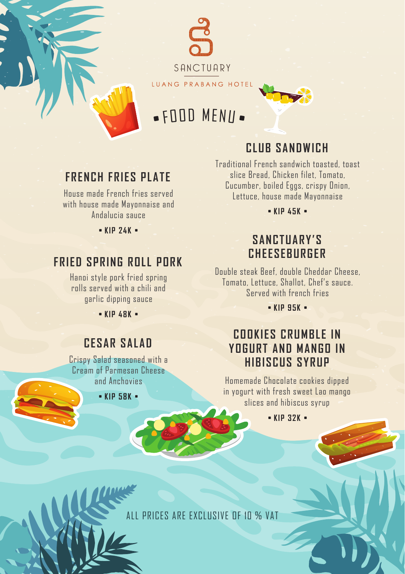

# • FOOD MENU •

### **CLUB SANDWICH**

### **FRENCH FRIES PLATE**

House made French fries served with house made Mayonnaise and Andalucia sauce

• **KIP 24K** •

### **FRIED SPRING ROLL PORK**

Hanoi style pork fried spring rolls served with a chili and garlic dipping sauce

• **KIP 48K** •

### **CESAR SALAD**

Crispy Salad seasoned with a Cream of Parmesan Cheese and Anchovies

• **KIP 58K** •

Traditional French sandwich toasted, toast slice Bread, Chicken filet, Tomato, Cucumber, boiled Eggs, crispy Onion, Lettuce, house made Mayonnaise

• **KIP 45K** •

### **SANCTUARY'S CHEESEBURGER**

Double steak Beef, double Cheddar Cheese, Tomato, Lettuce, Shallot, Chef's sauce. Served with french fries

• **KIP 95K** •

### **COOKIES CRUMBLE IN YOGURT AND MANGO IN HIBISCUS SYRUP**

Homemade Chocolate cookies dipped in yogurt with fresh sweet Lao mango slices and hibiscus syrup

• **KIP 32K** •

ALL PRICES ARE EXCLUSIVE OF 10 % VAT